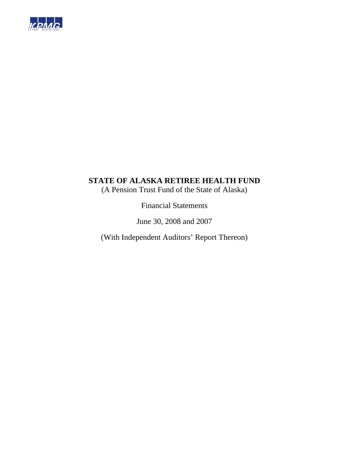

(A Pension Trust Fund of the State of Alaska)

Financial Statements

June 30, 2008 and 2007

(With Independent Auditors' Report Thereon)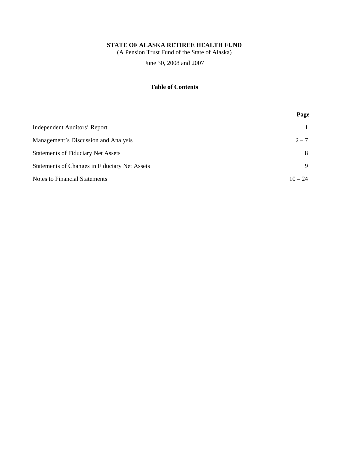(A Pension Trust Fund of the State of Alaska)

June 30, 2008 and 2007

# **Table of Contents**

|                                               | Page      |
|-----------------------------------------------|-----------|
| Independent Auditors' Report                  |           |
| Management's Discussion and Analysis          | $2 - 7$   |
| <b>Statements of Fiduciary Net Assets</b>     | 8         |
| Statements of Changes in Fiduciary Net Assets | 9         |
| <b>Notes to Financial Statements</b>          | $10 - 24$ |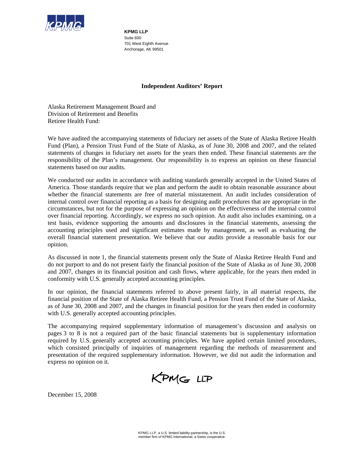

**KPMG LLP**  Suite 600 701 West Eighth Avenue Anchorage, AK 99501

### **Independent Auditors' Report**

Alaska Retirement Management Board and Division of Retirement and Benefits Retiree Health Fund:

We have audited the accompanying statements of fiduciary net assets of the State of Alaska Retiree Health Fund (Plan), a Pension Trust Fund of the State of Alaska, as of June 30, 2008 and 2007, and the related statements of changes in fiduciary net assets for the years then ended. These financial statements are the responsibility of the Plan's management. Our responsibility is to express an opinion on these financial statements based on our audits.

We conducted our audits in accordance with auditing standards generally accepted in the United States of America. Those standards require that we plan and perform the audit to obtain reasonable assurance about whether the financial statements are free of material misstatement. An audit includes consideration of internal control over financial reporting as a basis for designing audit procedures that are appropriate in the circumstances, but not for the purpose of expressing an opinion on the effectiveness of the internal control over financial reporting. Accordingly, we express no such opinion. An audit also includes examining, on a test basis, evidence supporting the amounts and disclosures in the financial statements, assessing the accounting principles used and significant estimates made by management, as well as evaluating the overall financial statement presentation. We believe that our audits provide a reasonable basis for our opinion.

As discussed in note 1, the financial statements present only the State of Alaska Retiree Health Fund and do not purport to and do not present fairly the financial position of the State of Alaska as of June 30, 2008 and 2007, changes in its financial position and cash flows, where applicable, for the years then ended in conformity with U.S. generally accepted accounting principles.

In our opinion, the financial statements referred to above present fairly, in all material respects, the financial position of the State of Alaska Retiree Health Fund, a Pension Trust Fund of the State of Alaska, as of June 30, 2008 and 2007, and the changes in financial position for the years then ended in conformity with U.S. generally accepted accounting principles.

The accompanying required supplementary information of management's discussion and analysis on pages 3 to 8 is not a required part of the basic financial statements but is supplementary information required by U.S. generally accepted accounting principles. We have applied certain limited procedures, which consisted principally of inquiries of management regarding the methods of measurement and presentation of the required supplementary information. However, we did not audit the information and express no opinion on it.

KPMG LLP

December 15, 2008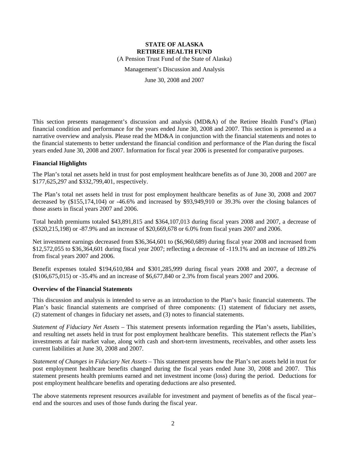(A Pension Trust Fund of the State of Alaska)

Management's Discussion and Analysis

June 30, 2008 and 2007

This section presents management's discussion and analysis (MD&A) of the Retiree Health Fund's (Plan) financial condition and performance for the years ended June 30, 2008 and 2007. This section is presented as a narrative overview and analysis. Please read the MD&A in conjunction with the financial statements and notes to the financial statements to better understand the financial condition and performance of the Plan during the fiscal years ended June 30, 2008 and 2007. Information for fiscal year 2006 is presented for comparative purposes.

#### **Financial Highlights**

The Plan's total net assets held in trust for post employment healthcare benefits as of June 30, 2008 and 2007 are \$177,625,297 and \$332,799,401, respectively.

The Plan's total net assets held in trust for post employment healthcare benefits as of June 30, 2008 and 2007 decreased by (\$155,174,104) or -46.6% and increased by \$93,949,910 or 39.3% over the closing balances of those assets in fiscal years 2007 and 2006.

Total health premiums totaled \$43,891,815 and \$364,107,013 during fiscal years 2008 and 2007, a decrease of (\$320,215,198) or -87.9% and an increase of \$20,669,678 or 6.0% from fiscal years 2007 and 2006.

Net investment earnings decreased from \$36,364,601 to (\$6,960,689) during fiscal year 2008 and increased from \$12,572,055 to \$36,364,601 during fiscal year 2007; reflecting a decrease of -119.1% and an increase of 189.2% from fiscal years 2007 and 2006.

Benefit expenses totaled \$194,610,984 and \$301,285,999 during fiscal years 2008 and 2007, a decrease of (\$106,675,015) or -35.4% and an increase of \$6,677,840 or 2.3% from fiscal years 2007 and 2006.

#### **Overview of the Financial Statements**

This discussion and analysis is intended to serve as an introduction to the Plan's basic financial statements. The Plan's basic financial statements are comprised of three components: (1) statement of fiduciary net assets, (2) statement of changes in fiduciary net assets, and (3) notes to financial statements.

*Statement of Fiduciary Net Assets* – This statement presents information regarding the Plan's assets, liabilities, and resulting net assets held in trust for post employment healthcare benefits. This statement reflects the Plan's investments at fair market value, along with cash and short-term investments, receivables, and other assets less current liabilities at June 30, 2008 and 2007.

*Statement of Changes in Fiduciary Net Assets* – This statement presents how the Plan's net assets held in trust for post employment healthcare benefits changed during the fiscal years ended June 30, 2008 and 2007. This statement presents health premiums earned and net investment income (loss) during the period. Deductions for post employment healthcare benefits and operating deductions are also presented.

The above statements represent resources available for investment and payment of benefits as of the fiscal year– end and the sources and uses of those funds during the fiscal year.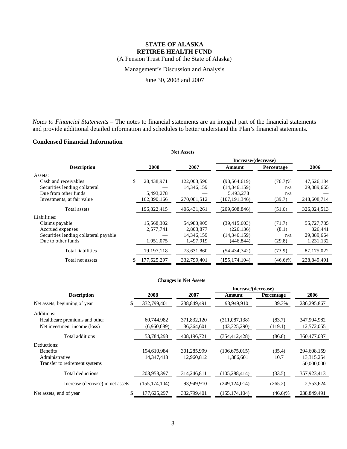(A Pension Trust Fund of the State of Alaska)

Management's Discussion and Analysis

June 30, 2008 and 2007

*Notes to Financial Statements* – The notes to financial statements are an integral part of the financial statements and provide additional detailed information and schedules to better understand the Plan's financial statements.

### **Condensed Financial Information**

| <b>Net Assets</b>                     |    |             |               |                     |            |             |
|---------------------------------------|----|-------------|---------------|---------------------|------------|-------------|
|                                       |    |             |               | Increase/(decrease) |            |             |
| <b>Description</b>                    |    | 2008        | 2007          | Amount              | Percentage | 2006        |
| Assets:                               |    |             |               |                     |            |             |
| Cash and receivables                  | \$ | 28,438,971  | 122,003,590   | (93, 564, 619)      | $(76.7)\%$ | 47,526,134  |
| Securities lending collateral         |    |             | 14,346,159    | (14,346,159)        | n/a        | 29,889,665  |
| Due from other funds                  |    | 5,493,278   |               | 5,493,278           | n/a        |             |
| Investments, at fair value            |    | 162,890,166 | 270,081,512   | (107, 191, 346)     | (39.7)     | 248,608,714 |
| Total assets                          |    | 196,822,415 | 406, 431, 261 | (209, 608, 846)     | (51.6)     | 326,024,513 |
| Liabilities:                          |    |             |               |                     |            |             |
| Claims payable                        |    | 15,568,302  | 54,983,905    | (39, 415, 603)      | (71.7)     | 55,727,785  |
| Accrued expenses                      |    | 2,577,741   | 2,803,877     | (226, 136)          | (8.1)      | 326,441     |
| Securities lending collateral payable |    |             | 14,346,159    | (14,346,159)        | n/a        | 29,889,664  |
| Due to other funds                    |    | 1,051,075   | 1,497,919     | (446,844)           | (29.8)     | 1,231,132   |
| Total liabilities                     |    | 19,197,118  | 73,631,860    | (54,434,742)        | (73.9)     | 87,175,022  |
| Total net assets                      | S  | 177,625,297 | 332,799,401   | (155, 174, 104)     | $(46.6)\%$ | 238,849,491 |

#### **Changes in Net Assets**

|                                   |                 |              | Increase/(decrease) |            |               |
|-----------------------------------|-----------------|--------------|---------------------|------------|---------------|
| <b>Description</b>                | 2008            | 2007         | Amount              | Percentage | 2006          |
| Net assets, beginning of year     | 332,799,401     | 238,849,491  | 93,949,910          | 39.3%      | 236, 295, 867 |
| Additions:                        |                 |              |                     |            |               |
| Healthcare premiums and other     | 60,744,982      | 371,832,120  | (311,087,138)       | (83.7)     | 347,904,982   |
| Net investment income (loss)      | (6,960,689)     | 36, 364, 601 | (43,325,290)        | (119.1)    | 12,572,055    |
| Total additions                   | 53,784,293      | 408,196,721  | (354,412,428)       | (86.8)     | 360,477,037   |
| Deductions:                       |                 |              |                     |            |               |
| <b>Benefits</b>                   | 194,610,984     | 301,285,999  | (106, 675, 015)     | (35.4)     | 294,608,159   |
| Administrative                    | 14.347.413      | 12.960.812   | 1.386.601           | 10.7       | 13,315,254    |
| Transfer to retirement systems    |                 |              |                     |            | 50,000,000    |
| Total deductions                  | 208,958,397     | 314,246,811  | (105, 288, 414)     | (33.5)     | 357,923,413   |
| Increase (decrease) in net assets | (155, 174, 104) | 93,949,910   | (249, 124, 014)     | (265.2)    | 2,553,624     |
| Net assets, end of year           | 177,625,297     | 332,799,401  | (155, 174, 104)     | $(46.6)\%$ | 238,849,491   |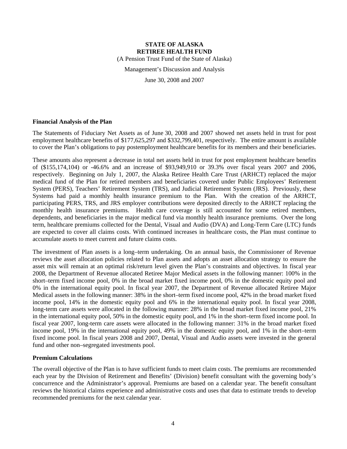(A Pension Trust Fund of the State of Alaska)

Management's Discussion and Analysis

June 30, 2008 and 2007

#### **Financial Analysis of the Plan**

The Statements of Fiduciary Net Assets as of June 30, 2008 and 2007 showed net assets held in trust for post employment healthcare benefits of \$177,625,297 and \$332,799,401, respectively. The entire amount is available to cover the Plan's obligations to pay postemployment healthcare benefits for its members and their beneficiaries.

These amounts also represent a decrease in total net assets held in trust for post employment healthcare benefits of (\$155,174,104) or -46.6% and an increase of \$93,949,910 or 39.3% over fiscal years 2007 and 2006, respectively. Beginning on July 1, 2007, the Alaska Retiree Health Care Trust (ARHCT) replaced the major medical fund of the Plan for retired members and beneficiaries covered under Public Employees' Retirement System (PERS), Teachers' Retirement System (TRS), and Judicial Retirement System (JRS). Previously, these Systems had paid a monthly health insurance premium to the Plan. With the creation of the ARHCT, participating PERS, TRS, and JRS employer contributions were deposited directly to the ARHCT replacing the monthly health insurance premiums. Health care coverage is still accounted for some retired members, dependents, and beneficiaries in the major medical fund via monthly health insurance premiums. Over the long term, healthcare premiums collected for the Dental, Visual and Audio (DVA) and Long-Term Care (LTC) funds are expected to cover all claims costs. With continued increases in healthcare costs, the Plan must continue to accumulate assets to meet current and future claims costs.

The investment of Plan assets is a long–term undertaking. On an annual basis, the Commissioner of Revenue reviews the asset allocation policies related to Plan assets and adopts an asset allocation strategy to ensure the asset mix will remain at an optimal risk/return level given the Plan's constraints and objectives. In fiscal year 2008, the Department of Revenue allocated Retiree Major Medical assets in the following manner: 100% in the short–term fixed income pool, 0% in the broad market fixed income pool, 0% in the domestic equity pool and 0% in the international equity pool. In fiscal year 2007, the Department of Revenue allocated Retiree Major Medical assets in the following manner: 38% in the short–term fixed income pool, 42% in the broad market fixed income pool, 14% in the domestic equity pool and 6% in the international equity pool. In fiscal year 2008, long-term care assets were allocated in the following manner: 28% in the broad market fixed income pool, 21% in the international equity pool, 50% in the domestic equity pool, and 1% in the short–term fixed income pool. In fiscal year 2007, long-term care assets were allocated in the following manner: 31% in the broad market fixed income pool, 19% in the international equity pool, 49% in the domestic equity pool, and 1% in the short–term fixed income pool. In fiscal years 2008 and 2007, Dental, Visual and Audio assets were invested in the general fund and other non–segregated investments pool.

#### **Premium Calculations**

The overall objective of the Plan is to have sufficient funds to meet claim costs. The premiums are recommended each year by the Division of Retirement and Benefits' (Division) benefit consultant with the governing body's concurrence and the Administrator's approval. Premiums are based on a calendar year. The benefit consultant reviews the historical claims experience and administrative costs and uses that data to estimate trends to develop recommended premiums for the next calendar year.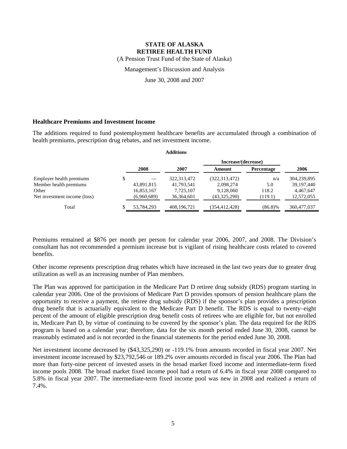(A Pension Trust Fund of the State of Alaska)

Management's Discussion and Analysis

June 30, 2008 and 2007

#### **Healthcare Premiums and Investment Income**

The additions required to fund postemployment healthcare benefits are accumulated through a combination of health premiums, prescription drug rebates, and net investment income.

| <b>Additions</b>             |    |             |               |                     |                   |              |
|------------------------------|----|-------------|---------------|---------------------|-------------------|--------------|
|                              |    |             |               | Increase/(decrease) |                   |              |
|                              |    | 2008        | 2007          | Amount              | <b>Percentage</b> | 2006         |
| Employer health premiums     | \$ |             | 322, 313, 472 | (322, 313, 472)     | n/a               | 304,239,895  |
| Member health premiums       |    | 43,891,815  | 41,793,541    | 2,098,274           | 5.0               | 39, 197, 440 |
| Other                        |    | 16,853,167  | 7.725.107     | 9.128.060           | 118.2             | 4,467,647    |
| Net investment income (loss) |    | (6,960,689) | 36, 364, 601  | (43,325,290)        | (119.1)           | 12,572,055   |
| Total                        |    | 53.784.293  | 408.196.721   | (354, 412, 428)     | $(86.8)\%$        | 360,477,037  |

Premiums remained at \$876 per month per person for calendar year 2006, 2007, and 2008. The Division's consultant has not recommended a premium increase but is vigilant of rising healthcare costs related to covered benefits.

Other income represents prescription drug rebates which have increased in the last two years due to greater drug utilization as well as an increasing number of Plan members.

The Plan was approved for participation in the Medicare Part D retiree drug subsidy (RDS) program starting in calendar year 2006. One of the provisions of Medicare Part D provides sponsors of pension healthcare plans the opportunity to receive a payment, the retiree drug subsidy (RDS) if the sponsor's plan provides a prescription drug benefit that is actuarially equivalent to the Medicare Part D benefit. The RDS is equal to twenty–eight percent of the amount of eligible prescription drug benefit costs of retirees who are eligible for, but not enrolled in, Medicare Part D, by virtue of continuing to be covered by the sponsor's plan. The data required for the RDS program is based on a calendar year; therefore, data for the six month period ended June 30, 2008, cannot be reasonably estimated and is not recorded in the financial statements for the period ended June 30, 2008.

Net investment income decreased by (\$43,325,290) or -119.1% from amounts recorded in fiscal year 2007. Net investment income increased by \$23,792,546 or 189.2% over amounts recorded in fiscal year 2006. The Plan had more than forty-nine percent of invested assets in the broad market fixed income and intermediate-term fixed income pools 2008. The broad market fixed income pool had a return of 6.4% in fiscal year 2008 compared to 5.8% in fiscal year 2007. The intermediate-term fixed income pool was new in 2008 and realized a return of 7.4%.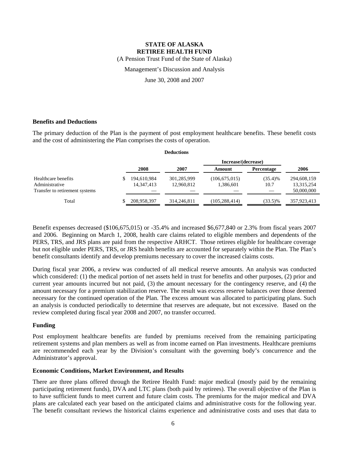(A Pension Trust Fund of the State of Alaska)

Management's Discussion and Analysis

June 30, 2008 and 2007

#### **Benefits and Deductions**

The primary deduction of the Plan is the payment of post employment healthcare benefits. These benefit costs and the cost of administering the Plan comprises the costs of operation.

| <b>Deductions</b>                                                       |  |                             |                           |                              |                    |                                         |
|-------------------------------------------------------------------------|--|-----------------------------|---------------------------|------------------------------|--------------------|-----------------------------------------|
|                                                                         |  |                             |                           | Increase/(decrease)          |                    |                                         |
|                                                                         |  | 2008                        | 2007                      | Amount                       | Percentage         | 2006                                    |
| Healthcare benefits<br>Administrative<br>Transfer to retirement systems |  | 194,610,984<br>14, 347, 413 | 301,285,999<br>12,960,812 | (106, 675, 015)<br>1,386,601 | $(35.4)\%$<br>10.7 | 294,608,159<br>13,315,254<br>50,000,000 |
| Total                                                                   |  | 208,958,397                 | 314,246,811               | (105, 288, 414)              | $(33.5)\%$         | 357,923,413                             |

Benefit expenses decreased (\$106,675,015) or -35.4% and increased \$6,677,840 or 2.3% from fiscal years 2007 and 2006. Beginning on March 1, 2008, health care claims related to eligible members and dependents of the PERS, TRS, and JRS plans are paid from the respective ARHCT. Those retirees eligible for healthcare coverage but not eligible under PERS, TRS, or JRS health benefits are accounted for separately within the Plan. The Plan's benefit consultants identify and develop premiums necessary to cover the increased claims costs.

During fiscal year 2006, a review was conducted of all medical reserve amounts. An analysis was conducted which considered: (1) the medical portion of net assets held in trust for benefits and other purposes, (2) prior and current year amounts incurred but not paid, (3) the amount necessary for the contingency reserve, and (4) the amount necessary for a premium stabilization reserve. The result was excess reserve balances over those deemed necessary for the continued operation of the Plan. The excess amount was allocated to participating plans. Such an analysis is conducted periodically to determine that reserves are adequate, but not excessive. Based on the review completed during fiscal year 2008 and 2007, no transfer occurred.

#### **Funding**

Post employment healthcare benefits are funded by premiums received from the remaining participating retirement systems and plan members as well as from income earned on Plan investments. Healthcare premiums are recommended each year by the Division's consultant with the governing body's concurrence and the Administrator's approval.

#### **Economic Conditions, Market Environment, and Results**

There are three plans offered through the Retiree Health Fund: major medical (mostly paid by the remaining participating retirement funds), DVA and LTC plans (both paid by retirees). The overall objective of the Plan is to have sufficient funds to meet current and future claim costs. The premiums for the major medical and DVA plans are calculated each year based on the anticipated claims and administrative costs for the following year. The benefit consultant reviews the historical claims experience and administrative costs and uses that data to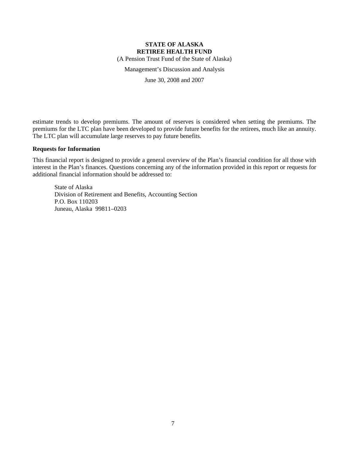(A Pension Trust Fund of the State of Alaska)

Management's Discussion and Analysis

June 30, 2008 and 2007

estimate trends to develop premiums. The amount of reserves is considered when setting the premiums. The premiums for the LTC plan have been developed to provide future benefits for the retirees, much like an annuity. The LTC plan will accumulate large reserves to pay future benefits.

#### **Requests for Information**

This financial report is designed to provide a general overview of the Plan's financial condition for all those with interest in the Plan's finances. Questions concerning any of the information provided in this report or requests for additional financial information should be addressed to:

State of Alaska Division of Retirement and Benefits, Accounting Section P.O. Box 110203 Juneau, Alaska 99811–0203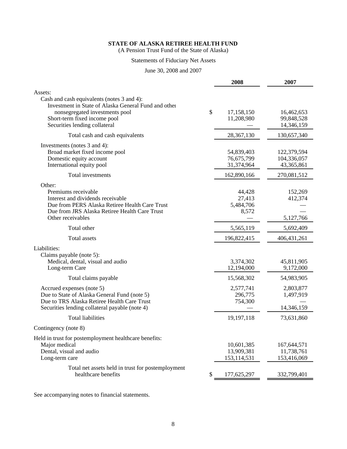(A Pension Trust Fund of the State of Alaska)

## Statements of Fiduciary Net Assets

June 30, 2008 and 2007

|                                                                                                                                                                                                       |    | 2008                                      | 2007                                     |
|-------------------------------------------------------------------------------------------------------------------------------------------------------------------------------------------------------|----|-------------------------------------------|------------------------------------------|
| Assets:                                                                                                                                                                                               |    |                                           |                                          |
| Cash and cash equivalents (notes 3 and 4):<br>Investment in State of Alaska General Fund and other<br>nonsegregated investments pool<br>Short-term fixed income pool<br>Securities lending collateral | \$ | 17,158,150<br>11,208,980                  | 16,462,653<br>99,848,528<br>14,346,159   |
| Total cash and cash equivalents                                                                                                                                                                       |    | 28,367,130                                | 130,657,340                              |
| Investments (notes 3 and 4):<br>Broad market fixed income pool<br>Domestic equity account<br>International equity pool                                                                                |    | 54,839,403<br>76,675,799<br>31,374,964    | 122,379,594<br>104,336,057<br>43,365,861 |
| Total investments                                                                                                                                                                                     |    | 162,890,166                               | 270,081,512                              |
| Other:<br>Premiums receivable<br>Interest and dividends receivable<br>Due from PERS Alaska Retiree Health Care Trust<br>Due from JRS Alaska Retiree Health Care Trust<br>Other receivables            |    | 44,428<br>27,413<br>5,484,706<br>8,572    | 152,269<br>412,374<br>5,127,766          |
| Total other                                                                                                                                                                                           |    | 5,565,119                                 | 5,692,409                                |
| <b>Total assets</b>                                                                                                                                                                                   |    | 196,822,415                               | 406, 431, 261                            |
| Liabilities:<br>Claims payable (note 5):<br>Medical, dental, visual and audio<br>Long-term Care                                                                                                       |    | 3,374,302<br>12,194,000                   | 45,811,905<br>9,172,000                  |
| Total claims payable                                                                                                                                                                                  |    | 15,568,302                                | 54,983,905                               |
| Accrued expenses (note 5)<br>Due to State of Alaska General Fund (note 5)<br>Due to TRS Alaska Retiree Health Care Trust<br>Securities lending collateral payable (note 4)                            |    | 2,577,741<br>296,775<br>754,300           | 2,803,877<br>1,497,919<br>14,346,159     |
| <b>Total liabilities</b>                                                                                                                                                                              |    | 19,197,118                                | 73,631,860                               |
| Contingency (note 8)                                                                                                                                                                                  |    |                                           |                                          |
| Held in trust for postemployment healthcare benefits:<br>Major medical<br>Dental, visual and audio<br>Long-term care                                                                                  |    | 10,601,385<br>13,909,381<br>153, 114, 531 | 167,644,571<br>11,738,761<br>153,416,069 |
| Total net assets held in trust for postemployment<br>healthcare benefits                                                                                                                              | S. | 177,625,297                               | 332,799,401                              |

See accompanying notes to financial statements.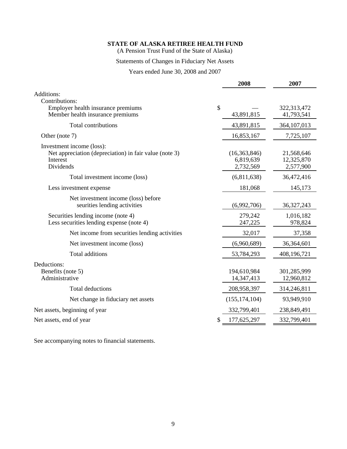(A Pension Trust Fund of the State of Alaska)

# Statements of Changes in Fiduciary Net Assets

Years ended June 30, 2008 and 2007

|                                                                                                              | 2008                                   | 2007                                  |
|--------------------------------------------------------------------------------------------------------------|----------------------------------------|---------------------------------------|
| Additions:<br>Contributions:                                                                                 |                                        |                                       |
| Employer health insurance premiums<br>Member health insurance premiums                                       | \$<br>43,891,815                       | 322,313,472<br>41,793,541             |
| Total contributions                                                                                          | 43,891,815                             | 364,107,013                           |
| Other (note 7)                                                                                               | 16,853,167                             | 7,725,107                             |
| Investment income (loss):<br>Net appreciation (depreciation) in fair value (note 3)<br>Interest<br>Dividends | (16,363,846)<br>6,819,639<br>2,732,569 | 21,568,646<br>12,325,870<br>2,577,900 |
| Total investment income (loss)                                                                               | (6,811,638)                            | 36,472,416                            |
| Less investment expense                                                                                      | 181,068                                | 145,173                               |
| Net investment income (loss) before<br>seurities lending activities                                          | (6,992,706)                            | 36, 327, 243                          |
| Securities lending income (note 4)<br>Less securities lending expense (note 4)                               | 279,242<br>247,225                     | 1,016,182<br>978,824                  |
| Net income from securities lending activities                                                                | 32,017                                 | 37,358                                |
| Net investment income (loss)                                                                                 | (6,960,689)                            | 36,364,601                            |
| Total additions                                                                                              | 53,784,293                             | 408,196,721                           |
| Deductions:<br>Benefits (note 5)<br>Administrative                                                           | 194,610,984<br>14,347,413              | 301,285,999<br>12,960,812             |
| <b>Total deductions</b>                                                                                      | 208,958,397                            | 314,246,811                           |
| Net change in fiduciary net assets                                                                           | (155, 174, 104)                        | 93,949,910                            |
| Net assets, beginning of year                                                                                | 332,799,401                            | 238,849,491                           |
| Net assets, end of year                                                                                      | 177,625,297<br>S                       | 332,799,401                           |
|                                                                                                              |                                        |                                       |

See accompanying notes to financial statements.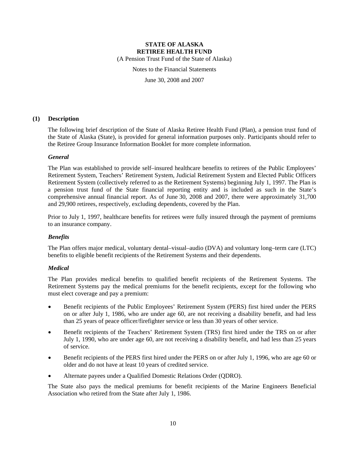(A Pension Trust Fund of the State of Alaska)

Notes to the Financial Statements

June 30, 2008 and 2007

#### **(1) Description**

The following brief description of the State of Alaska Retiree Health Fund (Plan), a pension trust fund of the State of Alaska (State), is provided for general information purposes only. Participants should refer to the Retiree Group Insurance Information Booklet for more complete information.

#### *General*

The Plan was established to provide self–insured healthcare benefits to retirees of the Public Employees' Retirement System, Teachers' Retirement System, Judicial Retirement System and Elected Public Officers Retirement System (collectively referred to as the Retirement Systems) beginning July 1, 1997. The Plan is a pension trust fund of the State financial reporting entity and is included as such in the State's comprehensive annual financial report. As of June 30, 2008 and 2007, there were approximately 31,700 and 29,900 retirees, respectively, excluding dependents, covered by the Plan.

Prior to July 1, 1997, healthcare benefits for retirees were fully insured through the payment of premiums to an insurance company.

### *Benefits*

The Plan offers major medical, voluntary dental–visual–audio (DVA) and voluntary long–term care (LTC) benefits to eligible benefit recipients of the Retirement Systems and their dependents.

#### *Medical*

The Plan provides medical benefits to qualified benefit recipients of the Retirement Systems. The Retirement Systems pay the medical premiums for the benefit recipients, except for the following who must elect coverage and pay a premium:

- Benefit recipients of the Public Employees' Retirement System (PERS) first hired under the PERS on or after July 1, 1986, who are under age 60, are not receiving a disability benefit, and had less than 25 years of peace officer/firefighter service or less than 30 years of other service.
- Benefit recipients of the Teachers' Retirement System (TRS) first hired under the TRS on or after July 1, 1990, who are under age 60, are not receiving a disability benefit, and had less than 25 years of service.
- Benefit recipients of the PERS first hired under the PERS on or after July 1, 1996, who are age 60 or older and do not have at least 10 years of credited service.
- Alternate payees under a Qualified Domestic Relations Order (QDRO).

The State also pays the medical premiums for benefit recipients of the Marine Engineers Beneficial Association who retired from the State after July 1, 1986.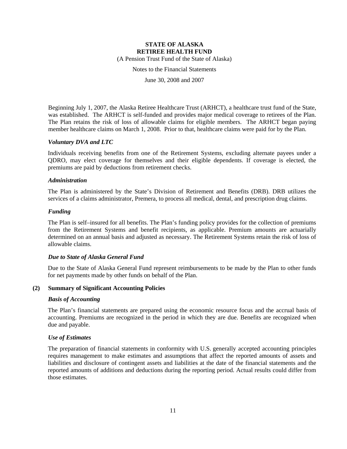(A Pension Trust Fund of the State of Alaska)

Notes to the Financial Statements

June 30, 2008 and 2007

Beginning July 1, 2007, the Alaska Retiree Healthcare Trust (ARHCT), a healthcare trust fund of the State, was established. The ARHCT is self-funded and provides major medical coverage to retirees of the Plan. The Plan retains the risk of loss of allowable claims for eligible members. The ARHCT began paying member healthcare claims on March 1, 2008. Prior to that, healthcare claims were paid for by the Plan.

#### *Voluntary DVA and LTC*

Individuals receiving benefits from one of the Retirement Systems, excluding alternate payees under a QDRO, may elect coverage for themselves and their eligible dependents. If coverage is elected, the premiums are paid by deductions from retirement checks.

#### *Administration*

The Plan is administered by the State's Division of Retirement and Benefits (DRB). DRB utilizes the services of a claims administrator, Premera, to process all medical, dental, and prescription drug claims.

#### *Funding*

The Plan is self–insured for all benefits. The Plan's funding policy provides for the collection of premiums from the Retirement Systems and benefit recipients, as applicable. Premium amounts are actuarially determined on an annual basis and adjusted as necessary. The Retirement Systems retain the risk of loss of allowable claims.

#### *Due to State of Alaska General Fund*

Due to the State of Alaska General Fund represent reimbursements to be made by the Plan to other funds for net payments made by other funds on behalf of the Plan.

#### **(2) Summary of Significant Accounting Policies**

#### *Basis of Accounting*

The Plan's financial statements are prepared using the economic resource focus and the accrual basis of accounting. Premiums are recognized in the period in which they are due. Benefits are recognized when due and payable.

#### *Use of Estimates*

The preparation of financial statements in conformity with U.S. generally accepted accounting principles requires management to make estimates and assumptions that affect the reported amounts of assets and liabilities and disclosure of contingent assets and liabilities at the date of the financial statements and the reported amounts of additions and deductions during the reporting period. Actual results could differ from those estimates.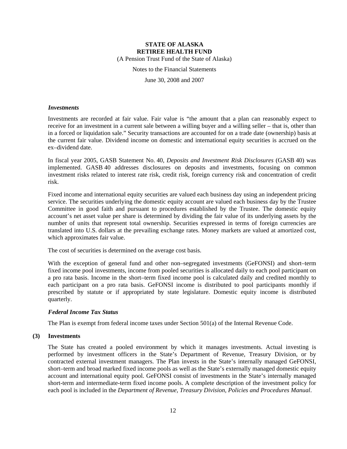(A Pension Trust Fund of the State of Alaska)

Notes to the Financial Statements

June 30, 2008 and 2007

#### *Investments*

Investments are recorded at fair value. Fair value is "the amount that a plan can reasonably expect to receive for an investment in a current sale between a willing buyer and a willing seller – that is, other than in a forced or liquidation sale." Security transactions are accounted for on a trade date (ownership) basis at the current fair value. Dividend income on domestic and international equity securities is accrued on the ex–dividend date.

In fiscal year 2005, GASB Statement No. 40, *Deposits and Investment Risk Disclosures* (GASB 40) was implemented. GASB 40 addresses disclosures on deposits and investments, focusing on common investment risks related to interest rate risk, credit risk, foreign currency risk and concentration of credit risk.

Fixed income and international equity securities are valued each business day using an independent pricing service. The securities underlying the domestic equity account are valued each business day by the Trustee Committee in good faith and pursuant to procedures established by the Trustee. The domestic equity account's net asset value per share is determined by dividing the fair value of its underlying assets by the number of units that represent total ownership. Securities expressed in terms of foreign currencies are translated into U.S. dollars at the prevailing exchange rates. Money markets are valued at amortized cost, which approximates fair value.

The cost of securities is determined on the average cost basis.

With the exception of general fund and other non–segregated investments (GeFONSI) and short–term fixed income pool investments, income from pooled securities is allocated daily to each pool participant on a pro rata basis. Income in the short–term fixed income pool is calculated daily and credited monthly to each participant on a pro rata basis. GeFONSI income is distributed to pool participants monthly if prescribed by statute or if appropriated by state legislature. Domestic equity income is distributed quarterly.

#### *Federal Income Tax Status*

The Plan is exempt from federal income taxes under Section 501(a) of the Internal Revenue Code.

#### **(3) Investments**

The State has created a pooled environment by which it manages investments. Actual investing is performed by investment officers in the State's Department of Revenue, Treasury Division, or by contracted external investment managers. The Plan invests in the State's internally managed GeFONSI, short–term and broad marked fixed income pools as well as the State's externally managed domestic equity account and international equity pool. GeFONSI consist of investments in the State's internally managed short-term and intermediate-term fixed income pools. A complete description of the investment policy for each pool is included in the *Department of Revenue, Treasury Division, Policies and Procedures Manual*.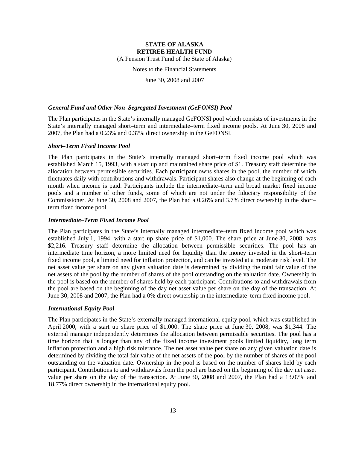(A Pension Trust Fund of the State of Alaska)

Notes to the Financial Statements

June 30, 2008 and 2007

#### *General Fund and Other Non–Segregated Investment (GeFONSI) Pool*

The Plan participates in the State's internally managed GeFONSI pool which consists of investments in the State's internally managed short–term and intermediate–term fixed income pools. At June 30, 2008 and 2007, the Plan had a 0.23% and 0.37% direct ownership in the GeFONSI.

#### *Short–Term Fixed Income Pool*

The Plan participates in the State's internally managed short–term fixed income pool which was established March 15, 1993, with a start up and maintained share price of \$1. Treasury staff determine the allocation between permissible securities. Each participant owns shares in the pool, the number of which fluctuates daily with contributions and withdrawals. Participant shares also change at the beginning of each month when income is paid. Participants include the intermediate–term and broad market fixed income pools and a number of other funds, some of which are not under the fiduciary responsibility of the Commissioner. At June 30, 2008 and 2007, the Plan had a 0.26% and 3.7% direct ownership in the short– term fixed income pool.

#### *Intermediate–Term Fixed Income Pool*

The Plan participates in the State's internally managed intermediate–term fixed income pool which was established July 1, 1994, with a start up share price of \$1,000. The share price at June 30, 2008, was \$2,216. Treasury staff determine the allocation between permissible securities. The pool has an intermediate time horizon, a more limited need for liquidity than the money invested in the short–term fixed income pool, a limited need for inflation protection, and can be invested at a moderate risk level. The net asset value per share on any given valuation date is determined by dividing the total fair value of the net assets of the pool by the number of shares of the pool outstanding on the valuation date. Ownership in the pool is based on the number of shares held by each participant. Contributions to and withdrawals from the pool are based on the beginning of the day net asset value per share on the day of the transaction. At June 30, 2008 and 2007, the Plan had a 0% direct ownership in the intermediate–term fixed income pool.

#### *International Equity Pool*

The Plan participates in the State's externally managed international equity pool, which was established in April 2000, with a start up share price of \$1,000. The share price at June 30, 2008, was \$1,344. The external manager independently determines the allocation between permissible securities. The pool has a time horizon that is longer than any of the fixed income investment pools limited liquidity, long term inflation protection and a high risk tolerance. The net asset value per share on any given valuation date is determined by dividing the total fair value of the net assets of the pool by the number of shares of the pool outstanding on the valuation date. Ownership in the pool is based on the number of shares held by each participant. Contributions to and withdrawals from the pool are based on the beginning of the day net asset value per share on the day of the transaction. At June 30, 2008 and 2007, the Plan had a 13.07% and 18.77% direct ownership in the international equity pool.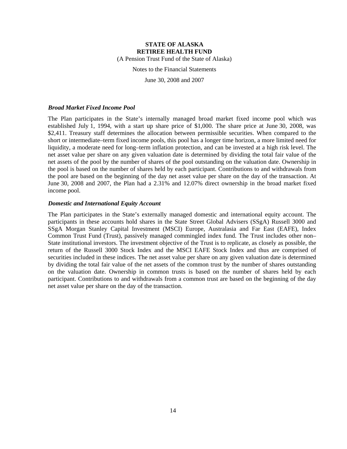(A Pension Trust Fund of the State of Alaska)

Notes to the Financial Statements

June 30, 2008 and 2007

#### *Broad Market Fixed Income Pool*

The Plan participates in the State's internally managed broad market fixed income pool which was established July 1, 1994, with a start up share price of \$1,000. The share price at June 30, 2008, was \$2,411. Treasury staff determines the allocation between permissible securities. When compared to the short or intermediate–term fixed income pools, this pool has a longer time horizon, a more limited need for liquidity, a moderate need for long–term inflation protection, and can be invested at a high risk level. The net asset value per share on any given valuation date is determined by dividing the total fair value of the net assets of the pool by the number of shares of the pool outstanding on the valuation date. Ownership in the pool is based on the number of shares held by each participant. Contributions to and withdrawals from the pool are based on the beginning of the day net asset value per share on the day of the transaction. At June 30, 2008 and 2007, the Plan had a 2.31% and 12.07% direct ownership in the broad market fixed income pool.

#### *Domestic and International Equity Account*

The Plan participates in the State's externally managed domestic and international equity account. The participants in these accounts hold shares in the State Street Global Advisers (SSgA) Russell 3000 and SSgA Morgan Stanley Capital Investment (MSCI) Europe, Australasia and Far East (EAFE), Index Common Trust Fund (Trust), passively managed commingled index fund. The Trust includes other non– State institutional investors. The investment objective of the Trust is to replicate, as closely as possible, the return of the Russell 3000 Stock Index and the MSCI EAFE Stock Index and thus are comprised of securities included in these indices. The net asset value per share on any given valuation date is determined by dividing the total fair value of the net assets of the common trust by the number of shares outstanding on the valuation date. Ownership in common trusts is based on the number of shares held by each participant. Contributions to and withdrawals from a common trust are based on the beginning of the day net asset value per share on the day of the transaction.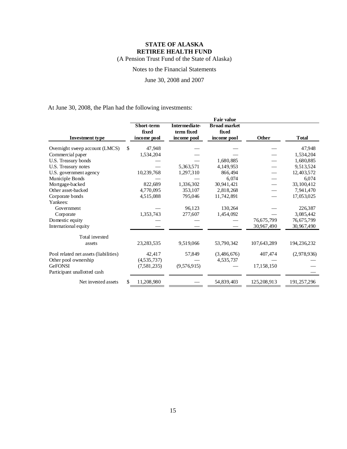(A Pension Trust Fund of the State of Alaska)

### Notes to the Financial Statements

June 30, 2008 and 2007

At June 30, 2008, the Plan had the following investments:

|                                       | Fair value          |                                    |                              |             |               |
|---------------------------------------|---------------------|------------------------------------|------------------------------|-------------|---------------|
|                                       | Short-term<br>fixed | <b>Intermediate-</b><br>term fixed | <b>Broad market</b><br>fixed |             |               |
| <b>Investment type</b>                | income pool         | income pool                        | income pool                  | Other       | <b>T</b> otal |
| Overnight sweep account (LMCS)        | 47,948<br>S.        |                                    |                              |             | 47,948        |
| Commercial paper                      | 1,534,204           |                                    |                              |             | 1,534,204     |
| U.S. Treasury bonds                   |                     |                                    | 1,680,885                    |             | 1,680,885     |
| U.S. Treasury notes                   |                     | 5,363,571                          | 4.149.953                    |             | 9,513,524     |
| U.S. government agency                | 10,239,768          | 1,297,310                          | 866,494                      |             | 12,403,572    |
| Municiple Bonds                       |                     |                                    | 6.074                        |             | 6,074         |
| Mortgage-backed                       | 822,689             | 1,336,302                          | 30,941,421                   |             | 33, 100, 412  |
| Other asset-backed                    | 4,770,095           | 353,107                            | 2,818,268                    |             | 7,941,470     |
| Corporate bonds                       | 4,515,088           | 795,046                            | 11,742,891                   |             | 17,053,025    |
| Yankees:                              |                     |                                    |                              |             |               |
| Government                            |                     | 96,123                             | 130,264                      |             | 226,387       |
| Corporate                             | 1,353,743           | 277,607                            | 1,454,092                    |             | 3,085,442     |
| Domestic equity                       |                     |                                    |                              | 76,675,799  | 76,675,799    |
| International equity                  |                     |                                    |                              | 30,967,490  | 30,967,490    |
| Total invested                        |                     |                                    |                              |             |               |
| assets                                | 23,283,535          | 9,519,066                          | 53,790,342                   | 107,643,289 | 194, 236, 232 |
| Pool related net assets (liabilities) | 42,417              | 57,849                             | (3,486,676)                  | 407,474     | (2,978,936)   |
| Other pool ownership                  | (4,535,737)         |                                    | 4,535,737                    |             |               |
| <b>GeFONSI</b>                        | (7,581,235)         | (9,576,915)                        |                              | 17,158,150  |               |
| Participant unallotted cash           |                     |                                    |                              |             |               |
| Net invested assets                   | \$<br>11,208,980    |                                    | 54,839,403                   | 125,208,913 | 191,257,296   |
|                                       |                     |                                    |                              |             |               |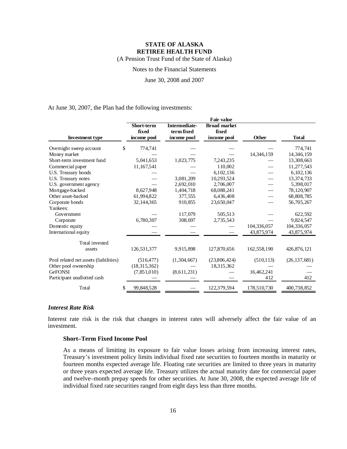(A Pension Trust Fund of the State of Alaska)

Notes to the Financial Statements

June 30, 2008 and 2007

At June 30, 2007, the Plan had the following investments:

|                                       |                            |                             | <b>Fair value</b>            |             |                |
|---------------------------------------|----------------------------|-----------------------------|------------------------------|-------------|----------------|
|                                       | <b>Short-term</b><br>fixed | Intermediate-<br>term fixed | <b>Broad market</b><br>fixed |             |                |
| <b>Investment type</b>                | income pool                | income pool                 | income pool                  | Other       | <b>Total</b>   |
| Overnight sweep account               | \$<br>774,741              |                             |                              |             | 774,741        |
| Money market                          |                            |                             |                              | 14,346,159  | 14, 346, 159   |
| Short-term investment fund            | 5,041,653                  | 1,023,775                   | 7,243,235                    |             | 13,308,663     |
| Commercial paper                      | 11,167,541                 |                             | 110.002                      |             | 11,277,543     |
| U.S. Treasury bonds                   |                            |                             | 6,102,136                    |             | 6,102,136      |
| U.S. Treasury notes                   |                            | 3,081,209                   | 10,293,524                   |             | 13,374,733     |
| U.S. government agency                |                            | 2,692,010                   | 2,706,007                    |             | 5,398,017      |
| Mortgage-backed                       | 8,627,948                  | 1,404,718                   | 68,088,241                   |             | 78,120,907     |
| Other asset-backed                    | 61,994,822                 | 377,555                     | 6,436,408                    |             | 68,808,785     |
| Corporate bonds                       | 32, 144, 365               | 910,855                     | 23,650,047                   |             | 56,705,267     |
| Yankees:                              |                            |                             |                              |             |                |
| Government                            |                            | 117,079                     | 505,513                      |             | 622,592        |
| Corporate                             | 6,780,307                  | 308,697                     | 2,735,543                    |             | 9,824,547      |
| Domestic equity                       |                            |                             |                              | 104,336,057 | 104,336,057    |
| International equity                  |                            |                             |                              | 43,875,974  | 43,875,974     |
| Total invested                        |                            |                             |                              |             |                |
| assets                                | 126,531,377                | 9,915,898                   | 127,870,656                  | 162,558,190 | 426,876,121    |
| Pool related net assets (liabilities) | (516, 477)                 | (1,304,667)                 | (23,806,424)                 | (510, 113)  | (26, 137, 681) |
| Other pool ownership                  | (18,315,362)               |                             | 18,315,362                   |             |                |
| <b>GeFONSI</b>                        | (7,851,010)                | (8,611,231)                 |                              | 16,462,241  |                |
| Participant unallotted cash           |                            |                             |                              | 412         | 412            |
| Total                                 | 99,848,528                 |                             | 122,379,594                  | 178,510,730 | 400,738,852    |

#### *Interest Rate Risk*

Interest rate risk is the risk that changes in interest rates will adversely affect the fair value of an investment.

### **Short–Term Fixed Income Pool**

As a means of limiting its exposure to fair value losses arising from increasing interest rates, Treasury's investment policy limits individual fixed rate securities to fourteen months in maturity or fourteen months expected average life. Floating rate securities are limited to three years in maturity or three years expected average life. Treasury utilizes the actual maturity date for commercial paper and twelve–month prepay speeds for other securities. At June 30, 2008, the expected average life of individual fixed rate securities ranged from eight days less than three months.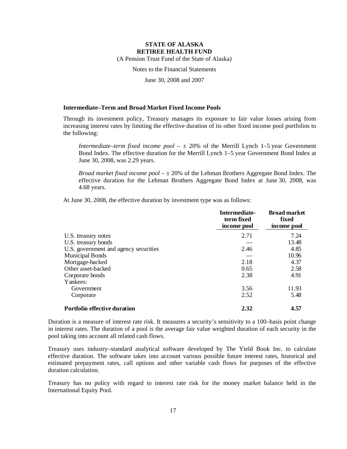(A Pension Trust Fund of the State of Alaska)

Notes to the Financial Statements

June 30, 2008 and 2007

#### **Intermediate–Term and Broad Market Fixed Income Pools**

Through its investment policy, Treasury manages its exposure to fair value losses arising from increasing interest rates by limiting the effective duration of its other fixed income pool portfolios to the following:

*Intermediate–term fixed income pool*  $- \pm 20\%$  of the Merrill Lynch 1–5 year Government Bond Index. The effective duration for the Merrill Lynch 1–5 year Government Bond Index at June 30, 2008, was 2.29 years.

*Broad market fixed income pool*  $-\pm 20\%$  of the Lehman Brothers Aggregate Bond Index. The effective duration for the Lehman Brothers Aggregate Bond Index at June 30, 2008, was 4.68 years.

At June 30, 2008, the effective duration by investment type was as follows:

|                                       | Intermediate-<br>term fixed<br>income pool | <b>Broad market</b><br>fixed<br>income pool |
|---------------------------------------|--------------------------------------------|---------------------------------------------|
| U.S. treasury notes                   | 2.71                                       | 7.24                                        |
| U.S. treasury bonds                   |                                            | 13.48                                       |
| U.S. government and agency securities | 2.46                                       | 4.85                                        |
| <b>Municipal Bonds</b>                |                                            | 10.96                                       |
| Mortgage-backed                       | 2.18                                       | 4.37                                        |
| Other asset-backed                    | 0.65                                       | 2.58                                        |
| Corporate bonds                       | 2.38                                       | 4.91                                        |
| Yankees:                              |                                            |                                             |
| Government                            | 3.56                                       | 11.93                                       |
| Corporate                             | 2.52                                       | 5.48                                        |
| Portfolio effective duration          | 2.32                                       | 4.57                                        |

Duration is a measure of interest rate risk. It measures a security's sensitivity to a 100–basis point change in interest rates. The duration of a pool is the average fair value weighted duration of each security in the pool taking into account all related cash flows.

Treasury uses industry–standard analytical software developed by The Yield Book Inc. to calculate effective duration. The software takes into account various possible future interest rates, historical and estimated prepayment rates, call options and other variable cash flows for purposes of the effective duration calculation.

Treasury has no policy with regard to interest rate risk for the money market balance held in the International Equity Pool.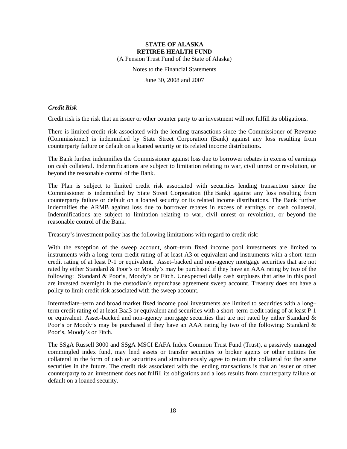(A Pension Trust Fund of the State of Alaska)

Notes to the Financial Statements

June 30, 2008 and 2007

#### *Credit Risk*

Credit risk is the risk that an issuer or other counter party to an investment will not fulfill its obligations.

There is limited credit risk associated with the lending transactions since the Commissioner of Revenue (Commissioner) is indemnified by State Street Corporation (Bank) against any loss resulting from counterparty failure or default on a loaned security or its related income distributions.

The Bank further indemnifies the Commissioner against loss due to borrower rebates in excess of earnings on cash collateral. Indemnifications are subject to limitation relating to war, civil unrest or revolution, or beyond the reasonable control of the Bank.

The Plan is subject to limited credit risk associated with securities lending transaction since the Commissioner is indemnified by State Street Corporation (the Bank) against any loss resulting from counterparty failure or default on a loaned security or its related income distributions. The Bank further indemnifies the ARMB against loss due to borrower rebates in excess of earnings on cash collateral. Indemnifications are subject to limitation relating to war, civil unrest or revolution, or beyond the reasonable control of the Bank.

Treasury's investment policy has the following limitations with regard to credit risk:

With the exception of the sweep account, short–term fixed income pool investments are limited to instruments with a long–term credit rating of at least A3 or equivalent and instruments with a short–term credit rating of at least P-1 or equivalent. Asset–backed and non-agency mortgage securities that are not rated by either Standard & Poor's or Moody's may be purchased if they have an AAA rating by two of the following: Standard & Poor's, Moody's or Fitch. Unexpected daily cash surpluses that arise in this pool are invested overnight in the custodian's repurchase agreement sweep account. Treasury does not have a policy to limit credit risk associated with the sweep account.

Intermediate–term and broad market fixed income pool investments are limited to securities with a long– term credit rating of at least Baa3 or equivalent and securities with a short–term credit rating of at least P-1 or equivalent. Asset–backed and non-agency mortgage securities that are not rated by either Standard & Poor's or Moody's may be purchased if they have an AAA rating by two of the following: Standard & Poor's, Moody's or Fitch.

The SSgA Russell 3000 and SSgA MSCI EAFA Index Common Trust Fund (Trust), a passively managed commingled index fund, may lend assets or transfer securities to broker agents or other entities for collateral in the form of cash or securities and simultaneously agree to return the collateral for the same securities in the future. The credit risk associated with the lending transactions is that an issuer or other counterparty to an investment does not fulfill its obligations and a loss results from counterparty failure or default on a loaned security.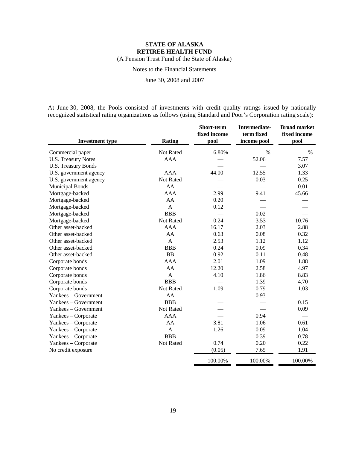(A Pension Trust Fund of the State of Alaska)

Notes to the Financial Statements

June 30, 2008 and 2007

At June 30, 2008, the Pools consisted of investments with credit quality ratings issued by nationally recognized statistical rating organizations as follows (using Standard and Poor's Corporation rating scale):

|                            |               | Short-term<br>fixed income | Intermediate-<br>term fixed | <b>Broad market</b><br>fixed income |
|----------------------------|---------------|----------------------------|-----------------------------|-------------------------------------|
| <b>Investment type</b>     | <b>Rating</b> | pool                       | income pool                 | pool                                |
| Commercial paper           | Not Rated     | 6.80%                      | $-$ %                       | $-$ %                               |
| <b>U.S. Treasury Notes</b> | <b>AAA</b>    |                            | 52.06                       | 7.57                                |
| U.S. Treasury Bonds        |               |                            |                             | 3.07                                |
| U.S. government agency     | <b>AAA</b>    | 44.00                      | 12.55                       | 1.33                                |
| U.S. government agency     | Not Rated     |                            | 0.03                        | 0.25                                |
| <b>Municipal Bonds</b>     | AA            |                            |                             | 0.01                                |
| Mortgage-backed            | AAA           | 2.99                       | 9.41                        | 45.66                               |
| Mortgage-backed            | AA            | 0.20                       |                             |                                     |
| Mortgage-backed            | $\mathbf{A}$  | 0.12                       |                             |                                     |
| Mortgage-backed            | <b>BBB</b>    |                            | 0.02                        |                                     |
| Mortgage-backed            | Not Rated     | 0.24                       | 3.53                        | 10.76                               |
| Other asset-backed         | <b>AAA</b>    | 16.17                      | 2.03                        | 2.88                                |
| Other asset-backed         | AA            | 0.63                       | 0.08                        | 0.32                                |
| Other asset-backed         | $\mathbf{A}$  | 2.53                       | 1.12                        | 1.12                                |
| Other asset-backed         | <b>BBB</b>    | 0.24                       | 0.09                        | 0.34                                |
| Other asset-backed         | BB            | 0.92                       | 0.11                        | 0.48                                |
| Corporate bonds            | <b>AAA</b>    | 2.01                       | 1.09                        | 1.88                                |
| Corporate bonds            | AA            | 12.20                      | 2.58                        | 4.97                                |
| Corporate bonds            | A             | 4.10                       | 1.86                        | 8.83                                |
| Corporate bonds            | <b>BBB</b>    |                            | 1.39                        | 4.70                                |
| Corporate bonds            | Not Rated     | 1.09                       | 0.79                        | 1.03                                |
| Yankees - Government       | AA            |                            | 0.93                        |                                     |
| Yankees - Government       | <b>BBB</b>    |                            |                             | 0.15                                |
| Yankees - Government       | Not Rated     |                            |                             | 0.09                                |
| Yankees – Corporate        | <b>AAA</b>    |                            | 0.94                        |                                     |
| Yankees – Corporate        | AA            | 3.81                       | 1.06                        | 0.61                                |
| Yankees – Corporate        | A             | 1.26                       | 0.09                        | 1.04                                |
| Yankees – Corporate        | <b>BBB</b>    |                            | 0.39                        | 0.78                                |
| Yankees - Corporate        | Not Rated     | 0.74                       | 0.20                        | 0.22                                |
| No credit exposure         |               | (0.05)                     | 7.65                        | 1.91                                |
|                            |               | 100.00%                    | 100.00%                     | 100.00%                             |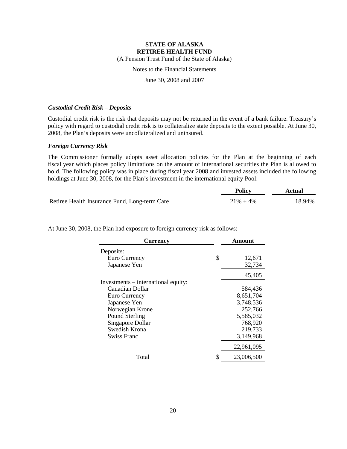(A Pension Trust Fund of the State of Alaska)

### Notes to the Financial Statements

June 30, 2008 and 2007

#### *Custodial Credit Risk – Deposits*

Custodial credit risk is the risk that deposits may not be returned in the event of a bank failure. Treasury's policy with regard to custodial credit risk is to collateralize state deposits to the extent possible. At June 30, 2008, the Plan's deposits were uncollateralized and uninsured.

#### *Foreign Currency Risk*

The Commissioner formally adopts asset allocation policies for the Plan at the beginning of each fiscal year which places policy limitations on the amount of international securities the Plan is allowed to hold. The following policy was in place during fiscal year 2008 and invested assets included the following holdings at June 30, 2008, for the Plan's investment in the international equity Pool:

|                                               | <b>Policy</b>  | Actual |
|-----------------------------------------------|----------------|--------|
| Retiree Health Insurance Fund, Long-term Care | $21\% \pm 4\%$ | 18.94% |

| <b>Currency</b>                     | Amount           |
|-------------------------------------|------------------|
| Deposits:                           |                  |
| Euro Currency                       | \$<br>12,671     |
| Japanese Yen                        | 32,734           |
|                                     | 45,405           |
| Investments – international equity: |                  |
| Canadian Dollar                     | 584,436          |
| Euro Currency                       | 8,651,704        |
| Japanese Yen                        | 3,748,536        |
| Norwegian Krone                     | 252,766          |
| Pound Sterling                      | 5,585,032        |
| Singapore Dollar                    | 768,920          |
| Swedish Krona                       | 219,733          |
| <b>Swiss Franc</b>                  | 3,149,968        |
|                                     | 22,961,095       |
| Total                               | \$<br>23,006,500 |

At June 30, 2008, the Plan had exposure to foreign currency risk as follows: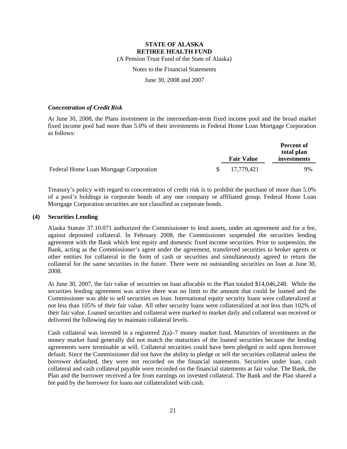(A Pension Trust Fund of the State of Alaska)

### Notes to the Financial Statements

June 30, 2008 and 2007

#### *Concentration of Credit Risk*

At June 30, 2008, the Plans investment in the intermediate-term fixed income pool and the broad market fixed income pool had more than 5.0% of their investments in Federal Home Loan Mortgage Corporation as follows:

|                                        | <b>Fair Value</b> |            | <b>Percent of</b><br>total plan<br>investments |
|----------------------------------------|-------------------|------------|------------------------------------------------|
| Federal Home Loan Mortgage Corporation | <sup>S</sup>      | 17,779,421 | 9%                                             |

Treasury's policy with regard to concentration of credit risk is to prohibit the purchase of more than 5.0% of a pool's holdings in corporate bonds of any one company or affiliated group. Federal Home Loan Mortgage Corporation securities are not classified as corporate bonds.

#### **(4) Securities Lending**

Alaska Statute 37.10.071 authorized the Commissioner to lend assets, under an agreement and for a fee, against deposited collateral. In February 2008, the Commissioner suspended the securities lending agreement with the Bank which lent equity and domestic fixed income securities. Prior to suspension, the Bank, acting as the Commissioner's agent under the agreement, transferred securities to broker agents or other entities for collateral in the form of cash or securities and simultaneously agreed to return the collateral for the same securities in the future. There were no outstanding securities on loan at June 30, 2008.

At June 30, 2007, the fair value of securities on loan allocable to the Plan totaled \$14,046,248. While the securities lending agreement was active there was no limit to the amount that could be loaned and the Commissioner was able to sell securities on loan. International equity security loans were collateralized at not less than 105% of their fair value. All other security loans were collateralized at not less than 102% of their fair value. Loaned securities and collateral were marked to market daily and collateral was received or delivered the following day to maintain collateral levels.

Cash collateral was invested in a registered  $2(a)$ –7 money market fund. Maturities of investments in the money market fund generally did not match the maturities of the loaned securities because the lending agreements were terminable at will. Collateral securities could have been pledged or sold upon borrower default. Since the Commissioner did not have the ability to pledge or sell the securities collateral unless the borrower defaulted, they were not recorded on the financial statements. Securities under loan, cash collateral and cash collateral payable were recorded on the financial statements at fair value. The Bank, the Plan and the borrower received a fee from earnings on invested collateral. The Bank and the Plan shared a fee paid by the borrower for loans not collateralized with cash.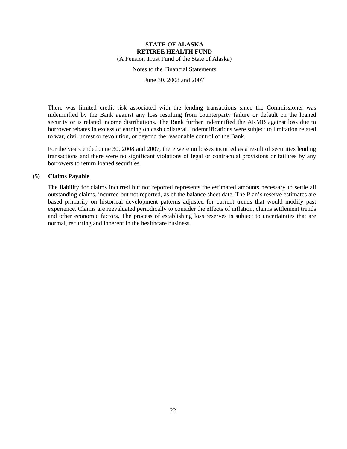(A Pension Trust Fund of the State of Alaska)

Notes to the Financial Statements

June 30, 2008 and 2007

There was limited credit risk associated with the lending transactions since the Commissioner was indemnified by the Bank against any loss resulting from counterparty failure or default on the loaned security or is related income distributions. The Bank further indemnified the ARMB against loss due to borrower rebates in excess of earning on cash collateral. Indemnifications were subject to limitation related to war, civil unrest or revolution, or beyond the reasonable control of the Bank.

For the years ended June 30, 2008 and 2007, there were no losses incurred as a result of securities lending transactions and there were no significant violations of legal or contractual provisions or failures by any borrowers to return loaned securities.

#### **(5) Claims Payable**

The liability for claims incurred but not reported represents the estimated amounts necessary to settle all outstanding claims, incurred but not reported, as of the balance sheet date. The Plan's reserve estimates are based primarily on historical development patterns adjusted for current trends that would modify past experience. Claims are reevaluated periodically to consider the effects of inflation, claims settlement trends and other economic factors. The process of establishing loss reserves is subject to uncertainties that are normal, recurring and inherent in the healthcare business.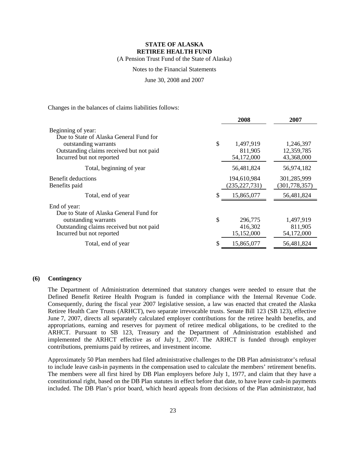(A Pension Trust Fund of the State of Alaska)

### Notes to the Financial Statements

June 30, 2008 and 2007

Changes in the balances of claims liabilities follows:

|                                                                                                             | 2008                                   | 2007                               |
|-------------------------------------------------------------------------------------------------------------|----------------------------------------|------------------------------------|
| Beginning of year:                                                                                          |                                        |                                    |
| Due to State of Alaska General Fund for<br>outstanding warrants<br>Outstanding claims received but not paid | \$<br>1,497,919<br>811,905             | 1,246,397<br>12,359,785            |
| Incurred but not reported                                                                                   | 54,172,000                             | 43,368,000                         |
| Total, beginning of year                                                                                    | 56,481,824                             | 56,974,182                         |
| Benefit deductions<br>Benefits paid                                                                         | 194,610,984<br>(235, 227, 731)         | 301,285,999<br>(301, 778, 357)     |
| Total, end of year                                                                                          | 15,865,077                             | 56,481,824                         |
| End of year:<br>Due to State of Alaska General Fund for                                                     |                                        |                                    |
| outstanding warrants<br>Outstanding claims received but not paid<br>Incurred but not reported               | \$<br>296,775<br>416,302<br>15,152,000 | 1,497,919<br>811,905<br>54,172,000 |
| Total, end of year                                                                                          | 15,865,077                             | 56,481,824                         |
|                                                                                                             |                                        |                                    |

#### **(6) Contingency**

The Department of Administration determined that statutory changes were needed to ensure that the Defined Benefit Retiree Health Program is funded in compliance with the Internal Revenue Code. Consequently, during the fiscal year 2007 legislative session, a law was enacted that created the Alaska Retiree Health Care Trusts (ARHCT), two separate irrevocable trusts. Senate Bill 123 (SB 123), effective June 7, 2007, directs all separately calculated employer contributions for the retiree health benefits, and appropriations, earning and reserves for payment of retiree medical obligations, to be credited to the ARHCT. Pursuant to SB 123, Treasury and the Department of Administration established and implemented the ARHCT effective as of July 1, 2007. The ARHCT is funded through employer contributions, premiums paid by retirees, and investment income.

Approximately 50 Plan members had filed administrative challenges to the DB Plan administrator's refusal to include leave cash-in payments in the compensation used to calculate the members' retirement benefits. The members were all first hired by DB Plan employers before July 1, 1977, and claim that they have a constitutional right, based on the DB Plan statutes in effect before that date, to have leave cash-in payments included. The DB Plan's prior board, which heard appeals from decisions of the Plan administrator, had